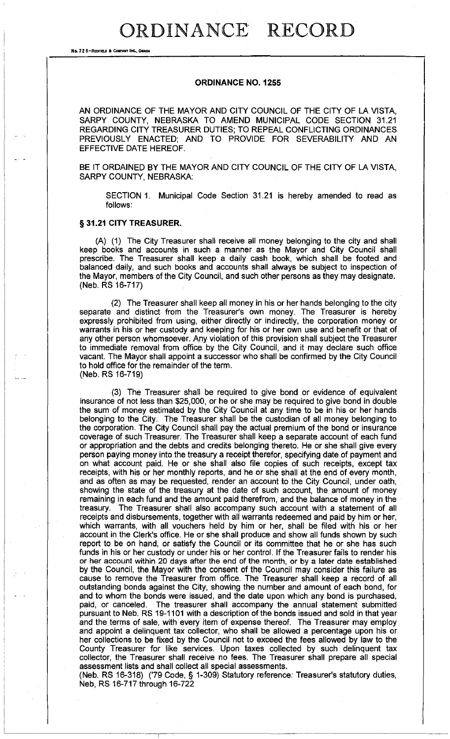# ORDINANCE RECORD

**No. 72 8-REDFIELD a CoIIPAHT INC.. OIlAHA** 

## ORDINANCE NO. 1255

AN ORDINANCE OF THE MAYOR AND CITY COUNCIL OF THE CITY OF LA VISTA, SARPY COUNTY, NEBRASKA TO AMEND MUNICIPAL CODE SECTION 31.21 REGARDING CITY TREASURER DUTIES; TO REPEAL CONFLICTING ORDINANCES PREVIOUSLY ENACTED; AND TO PROVIDE FOR SEVERABILITY AND AN EFFECTIVE DATE HEREOF.

BE IT ORDAINED BY THE MAYOR AND CITY COUNCIL OF THE CITY OF LA VISTA, SARPY COUNTY, NEBRASKA:

SECTION 1. Municipal Code Section 31.21 is hereby amended to read as follows:

## § 31.21 CITY TREASURER.

(A) (1) The City Treasurer shall receive all money belonging to the city and shall keep books and accounts in such a manner as the Mayor and City Council shall prescribe. The Treasurer shall keep a daily cash book, which shall be footed and balanced daily, and such books and accounts shall always be subject to inspection of the Mayor, members of the City Council, and such other persons as they may designate. (Neb. RS 16-717)

(2) The Treasurer shall keep all money in his or her hands belonging to the city separate and distinct from the Treasurer's own money. The Treasurer is hereby expressly prohibited from using, either directly or indirectly, the corporation money or warrants in his or her custody and keeping for his or her own use and benefit or that of any other person whomsoever. Any violation of this provision shall subject the Treasurer to immediate removal from office by the City Council, and it may declare such office vacant. The Mayor shall appoint a successor who shall be confirmed by the City Council to hold office for the remainder of the term. (Neb. RS 16-719)

(3) The Treasurer shall be required to give bond or evidence of equivalent insurance of not less than \$25,000, or he or she may be required to give bond in double the sum of money estimated by the City Council at any time to be in his or her hands belonging to the City. The Treasurer shall be the custodian of all money belonging to the corporation. The City Council shall pay the actual premium of the bond or insurance coverage of such Treasurer. The Treasurer shall keep a separate account of each fund or appropriation and the debts and credits belonging thereto. He or she shall give every person paying money into the treasury a receipt therefor, specifying date of payment and on what account paid. He or she shall also file copies of such receipts, except tax receipts, with his or her monthly reports, and he or she shall at the end of every month, and as often as may be requested, render an account to the City Council, under oath, showing the state of the treasury at the date of such account, the amount of money remaining in each fund and the amount paid therefrom, and the balance of money in the treasury. The Treasurer shall also accompany such account with a statement of all receipts and disbursements, together with all warrants redeemed and paid by him or her, which warrants, with all vouchers held by him or her, shall be filed with his or her account in the Clerk's office. He or she shall produce and show all funds shown by such report to be on hand, or satisfy the Council or its committee that he or she has such funds in his or her custody or under his or her control. If the Treasurer fails to render his or her account within 20 days after the end of the month. or by a later date established by the Council, the Mayor with the consent of the Council may consider this failure as cause to remove the Treasurer from office. The Treasurer shall keep a record of all outstanding bonds against the City, showing the number and amount of each bond, for and to whom the bonds were issued, and the date upon which any bond is purchased, paid, or canceled. The treasurer shall accompany the annual statement submitted pursuant to Neb. RS 19-1101 with a description of the bonds issued and sold in that year and the terms of sale, with every item of expense thereof. The Treasurer may employ and appoint a delinquent tax collector, who shall be allowed a percentage upon his or her collections to be fixed by the Council not to exceed the fees allowed by law to the County Treasurer for like services. Upon taxes collected by such delinquent tax collector, the Treasurer shall receive no fees. The Treasurer shall prepare all special assessment lists and shall collect all special assessments.

(Neb. RS 16-318) ('79 Code, § 1-309) Statutory reference: Treasurer's statutory duties, Neb, RS 16-717 through 16-722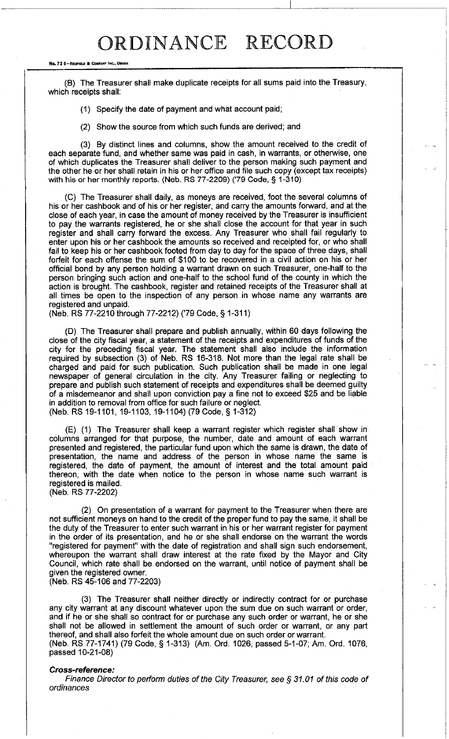# ORDINANCE RECORD

#### **No. 72 8-REDFIELD & COMPANY INC., ON**

(8) The Treasurer shall make duplicate receipts for all sums paid into the Treasury, which receipts shall:

(1) Specify the date of payment and what account paid;

(2) Show the source from which such funds are derived; and

(3) 8y distinct lines and columns, show the amount received to the credit of each separate fund, and whether same was paid in cash, in warrants, or otherwise, one of which duplicates the Treasurer shall deliver to the person making such payment and the other he or her shall retain in his or her office and file such copy (except tax receipts) with his or her monthly reports. (Neb. RS 77-2209) ('79 Code, § 1-310)

(C) The Treasurer shall daily, as moneys are received, foot the several columns of his or her cashbook and of his or her register, and carry the amounts forward, and at the close of each year, in case the amount of money received by the Treasurer is insufficient to pay the warrants registered, he or she shall close the account for that year in such register and shall carry forward the excess. Any Treasurer who shall fail regularly to enter upon his or her cashbook the amounts so received and receipted for, or who shall fail to keep his or her cashbook footed from day to day for the space of three days, shall forfeit for each offense the sum of \$100 to be recovered in a civil action on his or her official bond by any person holding a warrant drawn on such Treasurer, one-half to the person bringing such action and one-half to the school fund of the county in which the action is brought. The cashbook, register and retained receipts of the Treasurer shall at all times be open to the inspection of any person in whose name any warrants are registered and unpaid.

(Neb. RS 77-2210 through 77-2212) ('79 Code, § 1-311)

(D) The Treasurer shall prepare and publish annually, within 60 days following the close of the city fiscal year, a statement of the receipts and expenditures of funds of the city for the preceding fiscal year. The statement shall also include the information required by subsection (3) of Neb. RS 16-318. Not more than the legal rate shall be charged and paid for such publication. Such publication shall be made in one legal newspaper of general circulation in the city. Any Treasurer failing or neglecting to prepare and publish such statement of receipts and expenditures shall be deemed guilty of a misdemeanor and shall upon conviction pay a fine not to exceed \$25 and be liable in addition to removal from office for such failure or neglect. (Neb. RS 19-1101,19-1103,19-1104) (79 Code, § 1-312)

(E) (1) The Treasurer shall keep a warrant register which register shall show in columns arranged for that purpose, the number, date and amount of each warrant presented and registered, the particular fund upon which the same is drawn, the date of presentation, the name and address of the person in whose name the same is registered, the date of payment, the amount of interest and the total amount paid thereon, with the date when notice to the person in whose name such warrant is registered is mailed. (Neb. RS 77-2202)

(2) On presentation of a warrant for payment to the Treasurer when there are not sufficient moneys on hand to the credit of the proper fund to pay the same, it shall be the duty of the Treasurer to enter such warrant in his or her warrant register for payment in the order of its presentation, and he or she shall endorse on the warrant the words "registered for payment" with the date of registration and shall sign such endorsement, whereupon the warrant shall draw interest at the rate fixed by the Mayor and City Council, which rate shall be endorsed on the warrant, until notice of payment shall be given the registered owner. (Neb. RS 45-106 and 77-2203)

(3) The Treasurer shall neither directly or indirectly contract for or purchase any city warrant at any discount whatever upon the sum due on such warrant or order, and if he or she shall so contract for or purchase any such order or warrant, he or she shall not be allowed in settlement the amount of such order or warrant, or any part thereof, and shall also forfeit the whole amount due on such order or warrant. (Neb. RS 77-1741) (79 Code, § 1-313) (Am. Ord. 1026, passed 5-1-07; Am. Ord. 1076, passed 10-21-08)

### **Cross-reference:**

Finance Director to perform duties of the City Treasurer, see § 31.01 of this code of ordinances